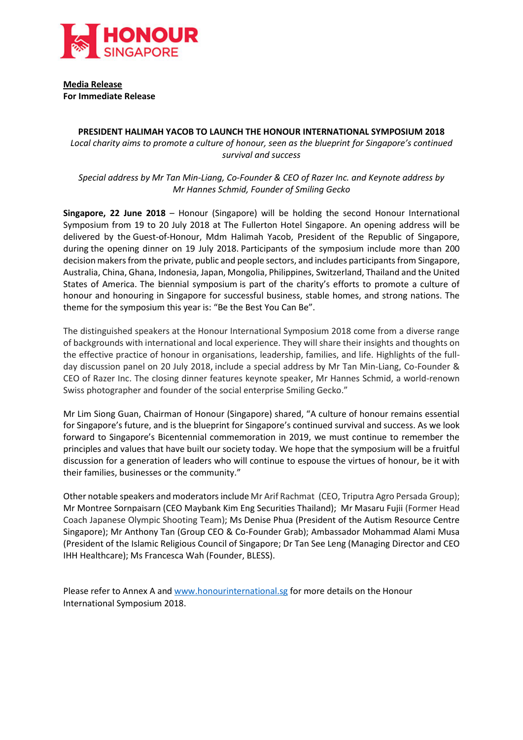

**Media Release For Immediate Release**

# **PRESIDENT HALIMAH YACOB TO LAUNCH THE HONOUR INTERNATIONAL SYMPOSIUM 2018** *Local charity aims to promote a culture of honour, seen as the blueprint for Singapore's continued survival and success*

*Special address by Mr Tan Min-Liang, Co-Founder & CEO of Razer Inc. and Keynote address by Mr Hannes Schmid, Founder of Smiling Gecko*

**Singapore, 22 June 2018** – Honour (Singapore) will be holding the second Honour International Symposium from 19 to 20 July 2018 at The Fullerton Hotel Singapore. An opening address will be delivered by the Guest-of-Honour, Mdm Halimah Yacob, President of the Republic of Singapore, during the opening dinner on 19 July 2018. Participants of the symposium include more than 200 decision makers from the private, public and people sectors, and includes participants from Singapore, Australia, China, Ghana, Indonesia, Japan, Mongolia, Philippines, Switzerland, Thailand and the United States of America. The biennial symposium is part of the charity's efforts to promote a culture of honour and honouring in Singapore for successful business, stable homes, and strong nations. The theme for the symposium this year is: "Be the Best You Can Be".

The distinguished speakers at the Honour International Symposium 2018 come from a diverse range of backgrounds with international and local experience. They will share their insights and thoughts on the effective practice of honour in organisations, leadership, families, and life. Highlights of the fullday discussion panel on 20 July 2018, include a special address by Mr Tan Min-Liang, Co-Founder & CEO of Razer Inc. The closing dinner features keynote speaker, Mr Hannes Schmid, a world-renown Swiss photographer and founder of the social enterprise Smiling Gecko."

Mr Lim Siong Guan, Chairman of Honour (Singapore) shared, "A culture of honour remains essential for Singapore's future, and is the blueprint for Singapore's continued survival and success. As we look forward to Singapore's Bicentennial commemoration in 2019, we must continue to remember the principles and values that have built our society today. We hope that the symposium will be a fruitful discussion for a generation of leaders who will continue to espouse the virtues of honour, be it with their families, businesses or the community."

Other notable speakers and moderatorsinclude Mr Arif Rachmat (CEO, Triputra Agro Persada Group); Mr Montree Sornpaisarn (CEO Maybank Kim Eng Securities Thailand); Mr Masaru Fujii (Former Head Coach Japanese Olympic Shooting Team); Ms Denise Phua (President of the Autism Resource Centre Singapore); Mr Anthony Tan (Group CEO & Co-Founder Grab); Ambassador Mohammad Alami Musa (President of the Islamic Religious Council of Singapore; Dr Tan See Leng (Managing Director and CEO IHH Healthcare); Ms Francesca Wah (Founder, BLESS).

Please refer to Annex A and [www.honourinternational.sg](http://www.honourinternational.sg/) for more details on the Honour International Symposium 2018.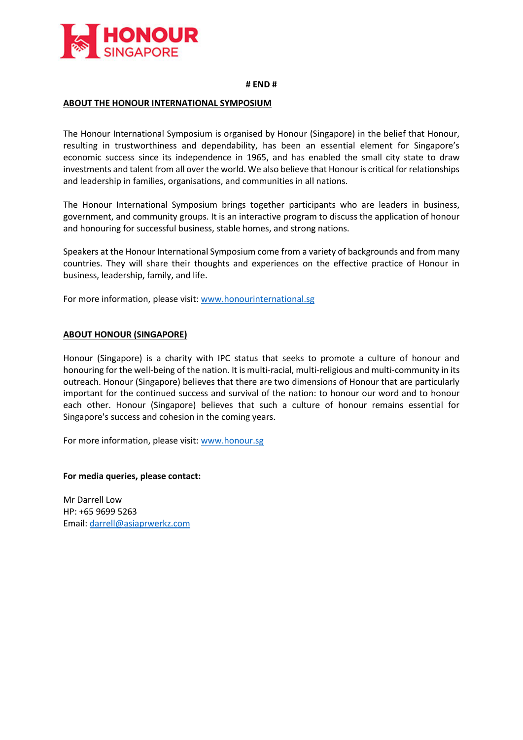

#### **# END #**

## **ABOUT THE HONOUR INTERNATIONAL SYMPOSIUM**

The Honour International Symposium is organised by Honour (Singapore) in the belief that Honour, resulting in trustworthiness and dependability, has been an essential element for Singapore's economic success since its independence in 1965, and has enabled the small city state to draw investments and talent from all over the world. We also believe that Honour is critical for relationships and leadership in families, organisations, and communities in all nations.

The Honour International Symposium brings together participants who are leaders in business, government, and community groups. It is an interactive program to discuss the application of honour and honouring for successful business, stable homes, and strong nations.

Speakers at the Honour International Symposium come from a variety of backgrounds and from many countries. They will share their thoughts and experiences on the effective practice of Honour in business, leadership, family, and life.

For more information, please visit[: www.honourinternational.sg](http://www.honourinternational.sg/)

## **ABOUT HONOUR (SINGAPORE)**

Honour (Singapore) is a charity with IPC status that seeks to promote a culture of honour and honouring for the well-being of the nation. It is multi-racial, multi-religious and multi-community in its outreach. Honour (Singapore) believes that there are two dimensions of Honour that are particularly important for the continued success and survival of the nation: to honour our word and to honour each other. Honour (Singapore) believes that such a culture of honour remains essential for Singapore's success and cohesion in the coming years.

For more information, please visit[: www.honour.sg](http://www.honour.sg/)

#### **For media queries, please contact:**

Mr Darrell Low HP: +65 9699 5263 Email: [darrell@asiaprwerkz.com](mailto:darrell@asiaprwerkz.com)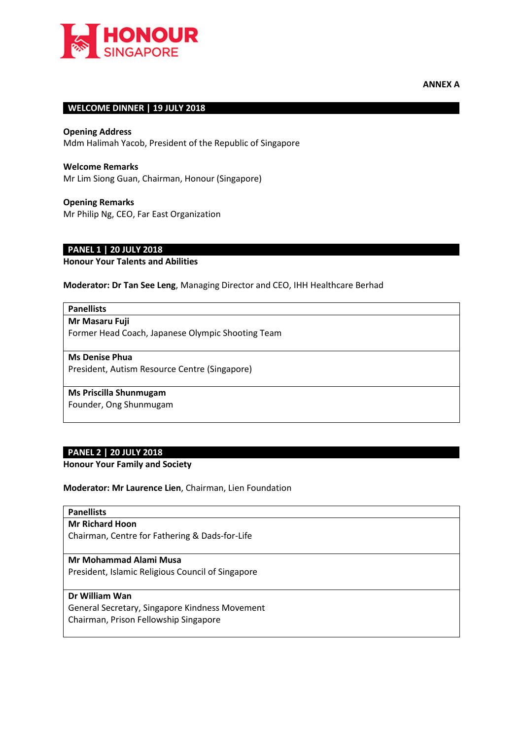

# **WELCOME DINNER | 19 JULY 2018**

**Opening Address** Mdm Halimah Yacob, President of the Republic of Singapore

**Welcome Remarks** Mr Lim Siong Guan, Chairman, Honour (Singapore)

**Opening Remarks** Mr Philip Ng, CEO, Far East Organization

# **PANEL 1 | 20 JULY 2018**

**Honour Your Talents and Abilities** 

**Moderator: Dr Tan See Leng**, Managing Director and CEO, IHH Healthcare Berhad

# **Panellists**

**Mr Masaru Fuji**

Former Head Coach, Japanese Olympic Shooting Team

#### **Ms Denise Phua**

President, Autism Resource Centre (Singapore)

## **Ms Priscilla Shunmugam**

Founder, Ong Shunmugam

#### **PANEL 2 | 20 JULY 2018**

**Honour Your Family and Society**

**Moderator: Mr Laurence Lien**, Chairman, Lien Foundation

## **Panellists**

**Mr Richard Hoon**

Chairman, Centre for Fathering & Dads-for-Life

#### **Mr Mohammad Alami Musa**

President, Islamic Religious Council of Singapore

## **Dr William Wan**

General Secretary, Singapore Kindness Movement Chairman, Prison Fellowship Singapore